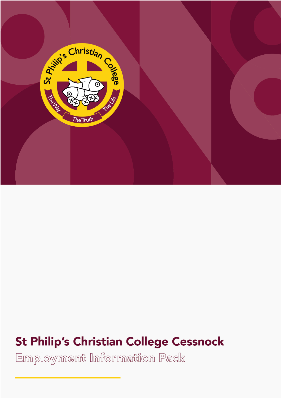

# **St Philip's Christian College Cessnock**

Employment Information Pack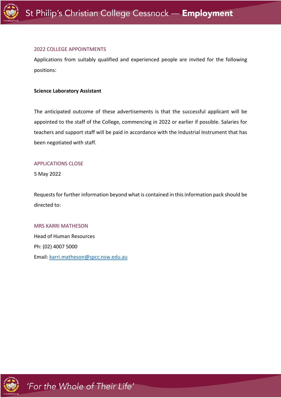

#### 2022 COLLEGE APPOINTMENTS

Applications from suitably qualified and experienced people are invited for the following positions:

#### **Science Laboratory Assistant**

The anticipated outcome of these advertisements is that the successful applicant will be appointed to the staff of the College, commencing in 2022 or earlier if possible. Salaries for teachers and support staff will be paid in accordance with the Industrial Instrument that has been negotiated with staff.

#### APPLICATIONS CLOSE

5 May 2022

Requests for further information beyond what is contained in this information pack should be directed to:

#### MRS KARRI MATHESON

Head of Human Resources Ph: (02) 4007 5000 Email: karri.matheson@spcc.nsw.edu.au

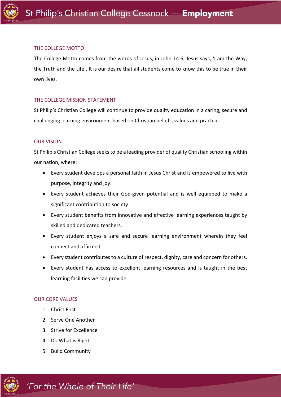

# THE COLLEGE MOTTO

The College Motto comes from the words of Jesus, in John 14:6, Jesus says, 'I am the Way, the Truth and the Life'. It is our desire that all students come to know this to be true in their own lives.

# THE COLLEGE MISSION STATEMENT

St Philip's Christian College will continue to provide quality education in a caring, secure and challenging learning environment based on Christian beliefs, values and practice.

# OUR VISION

St Philip's Christian College seeks to be a leading provider of quality Christian schooling within our nation, where:

- Every student develops a personal faith in Jesus Christ and is empowered to live with purpose, integrity and joy.
- Every student achieves their God-given potential and is well equipped to make a significant contribution to society.
- Every student benefits from innovative and effective learning experiences taught by skilled and dedicated teachers.
- Every student enjoys a safe and secure learning environment wherein they feel connect and affirmed.
- Every student contributes to a culture of respect, dignity, care and concern for others.
- Every student has access to excellent learning resources and is taught in the best learning facilities we can provide.

# OUR CORE VALUES

- 1. Christ First
- 2. Serve One Another
- 3. Strive for Excellence
- 4. Do What is Right
- 5. Build Community

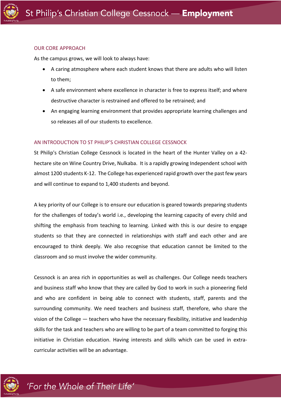#### OUR CORE APPROACH

As the campus grows, we will look to always have:

- A caring atmosphere where each student knows that there are adults who will listen to them;
- A safe environment where excellence in character is free to express itself; and where destructive character is restrained and offered to be retrained; and
- An engaging learning environment that provides appropriate learning challenges and so releases all of our students to excellence.

# AN INTRODUCTION TO ST PHILIP'S CHRISTIAN COLLEGE CESSNOCK

St Philip's Christian College Cessnock is located in the heart of the Hunter Valley on a 42 hectare site on Wine Country Drive, Nulkaba. It is a rapidly growing Independent school with almost 1200 students K-12. The College has experienced rapid growth over the past few years and will continue to expand to 1,400 students and beyond.

A key priority of our College is to ensure our education is geared towards preparing students for the challenges of today's world i.e., developing the learning capacity of every child and shifting the emphasis from teaching to learning. Linked with this is our desire to engage students so that they are connected in relationships with staff and each other and are encouraged to think deeply. We also recognise that education cannot be limited to the classroom and so must involve the wider community.

Cessnock is an area rich in opportunities as well as challenges. Our College needs teachers and business staff who know that they are called by God to work in such a pioneering field and who are confident in being able to connect with students, staff, parents and the surrounding community. We need teachers and business staff, therefore, who share the vision of the College — teachers who have the necessary flexibility, initiative and leadership skills for the task and teachers who are willing to be part of a team committed to forging this initiative in Christian education. Having interests and skills which can be used in extracurricular activities will be an advantage.

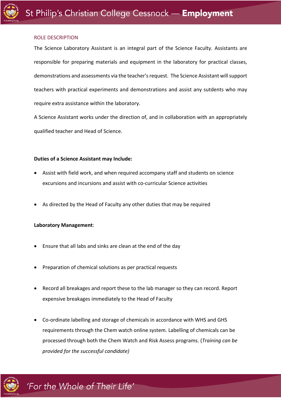#### ROLE DESCRIPTION

The Science Laboratory Assistant is an integral part of the Science Faculty. Assistants are responsible for preparing materials and equipment in the laboratory for practical classes, demonstrations and assessments via the teacher's request. The Science Assistant will support teachers with practical experiments and demonstrations and assist any sutdents who may require extra assistance within the laboratory.

A Science Assistant works under the direction of, and in collaboration with an appropriately qualified teacher and Head of Science.

#### **Duties of a Science Assistant may Include:**

- Assist with field work, and when required accompany staff and students on science excursions and incursions and assist with co-curricular Science activities
- As directed by the Head of Faculty any other duties that may be required

#### **Laboratory Management**:

- Ensure that all labs and sinks are clean at the end of the day
- Preparation of chemical solutions as per practical requests
- Record all breakages and report these to the lab manager so they can record. Report expensive breakages immediately to the Head of Faculty
- Co-ordinate labelling and storage of chemicals in accordance with WHS and GHS requirements through the Chem watch online system. Labelling of chemicals can be processed through both the Chem Watch and Risk Assess programs. (*Training can be provided for the successful candidate)*

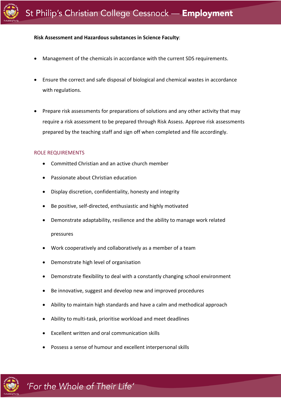#### **Risk Assessment and Hazardous substances in Science Faculty**:

- Management of the chemicals in accordance with the current SDS requirements.
- Ensure the correct and safe disposal of biological and chemical wastes in accordance with regulations.
- Prepare risk assessments for preparations of solutions and any other activity that may require a risk assessment to be prepared through Risk Assess. Approve risk assessments prepared by the teaching staff and sign off when completed and file accordingly.

#### ROLE REQUIREMENTS

- Committed Christian and an active church member
- Passionate about Christian education
- Display discretion, confidentiality, honesty and integrity
- Be positive, self-directed, enthusiastic and highly motivated
- Demonstrate adaptability, resilience and the ability to manage work related pressures
- Work cooperatively and collaboratively as a member of a team
- Demonstrate high level of organisation
- Demonstrate flexibility to deal with a constantly changing school environment
- Be innovative, suggest and develop new and improved procedures
- Ability to maintain high standards and have a calm and methodical approach
- Ability to multi-task, prioritise workload and meet deadlines
- Excellent written and oral communication skills
- Possess a sense of humour and excellent interpersonal skills